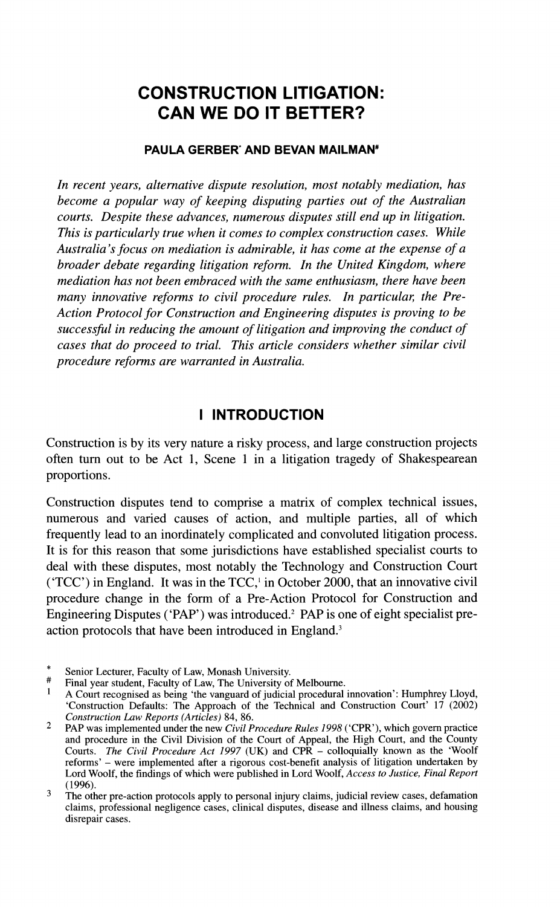# **CONSTRUCTION LITIGATION: CAN WE DO IT BETTER?**

#### **PAULA GERBER' AND BEVAN MAILMAN\***

*In recent years, alternative dispute resolution, most notably mediation, has become a popular way of keeping disputing parties out of the Australian courts. Despite these advances, numerous disputes still end up in litigation. This is particularly true when it comes to complex construction cases. While Australia's focus on mediation is admirable, it has come at the expense of a broader debate regarding litigation reform. In the United Kingdom, where mediation has not been embraced with the same enthusiasm, there have been many innovative reforms to civil procedure rules. In particular, the Pre-Action Protocol for Construction and Engineering disputes is proving to be successful in reducing the amount of litigation and improving the conduct of cases that do proceed to trial. This article considers whether similar civil procedure reforms are warranted in Australia.* 

### **I INTRODUCTION**

Construction is by its very nature a risky process, and large construction projects often turn out to be Act 1, Scene 1 in a litigation tragedy of Shakespearean proportions.

Construction disputes tend to comprise a matrix of complex technical issues, numerous and varied causes of action, and multiple parties, all of which frequently lead to an inordinately complicated and convoluted litigation process. It is for this reason that some jurisdictions have established specialist courts to deal with these disputes, most notably the Technology and Construction Court ( $TCC'$ ) in England. It was in the  $TCC'$ , in October 2000, that an innovative civil procedure change in the form of a Pre-Action Protocol for Construction and Engineering Disputes ('PAP') was introduced.<sup>2</sup> PAP is one of eight specialist preaction protocols that have been introduced in England.<sup>3</sup>

<sup>\*</sup> Senior Lecturer, Faculty of Law, Monash University.<br># Final year student, Faculty of Law, The University of Melbourne.

A Court recognised as being 'the vanguard of judicial procedural innovation': Humphrey Lloyd, 'Construction Defaults: The Approach of the Technical and Construction Court' 17 (2002) *Construction* **Law** *Reports (Articles)* 84, 86.

 $\overline{2}$ PAP was implemented under the new *Civil Procedure Rules* 1998 ('CPR'), which govern practice and procedure in the Civil Division of the Court of Appeal, the High Court, and the County Courts. *The Civil Procedure Act 1997 (UK)* and CPR - colloquially known as the 'Woolf reforms' - were implemented after a rigorous cost-benefit analysis of litigation undertaken by Lord Woolf, the findings of which were published in Lord Woolf, *Access to Justice, Final Report*  (1996).

 $\overline{3}$ The other pre-action protocols apply to personal injury claims, judicial review cases, defamation claims, professional negligence cases, clinical disputes, disease and illness claims, and housing disrepair cases.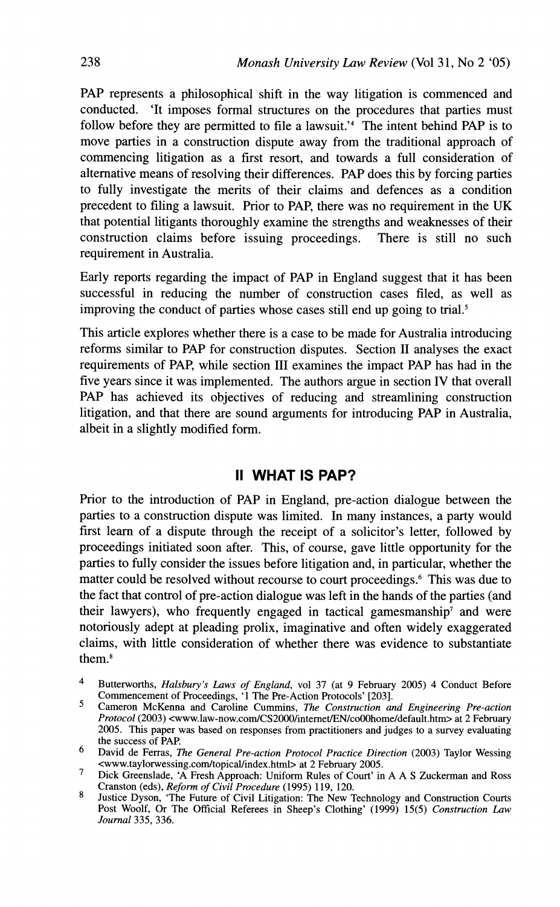PAP represents a philosophical shift in the way litigation is commenced and conducted. 'It imposes formal structures on the procedures that parties must follow before they are permitted to file a lawsuit.<sup>24</sup> The intent behind PAP is to move parties in a construction dispute away from the traditional approach of commencing litigation as a first resort, and towards a full consideration of alternative means of resolving their differences. PAP does this by forcing parties to fully investigate the merits of their claims and defences as a condition precedent to filing a lawsuit. Prior to PAP, there was no requirement in the UK that potential litigants thoroughly examine the strengths and weaknesses of their construction claims before issuing proceedings. There is still no such requirement in Australia.

Early reports regarding the impact of PAP in England suggest that it has been successful in reducing the number of construction cases filed, as well as improving the conduct of parties whose cases still end up going to trial.<sup>5</sup>

This article explores whether there is a case to be made for Australia introducing reforms similar to PAP for construction disputes. Section I1 analyses the exact requirements of PAP, while section I11 examines the impact PAP has had in the five years since it was implemented. The authors argue in section IV that overall PAP has achieved its objectives of reducing and streamlining construction litigation, and that there are sound arguments for introducing PAP in Australia, albeit in a slightly modified form.

### **II WHAT IS PAP?**

Prior to the introduction of PAP in England, pre-action dialogue between the parties to a construction dispute was limited. In many instances, a party would first learn of a dispute through the receipt of a solicitor's letter, followed by proceedings initiated soon after. This, of course, gave little opportunity for the parties to fully consider the issues before litigation and, in particular, whether the matter could be resolved without recourse to court proceedings.<sup>6</sup> This was due to the fact that control of pre-action dialogue was left in the hands of the parties (and their lawyers), who frequently engaged in tactical gamesmanship<sup>7</sup> and were notoriously adept at pleading prolix, imaginative and often widely exaggerated claims, with little consideration of whether there was evidence to substantiate them.8

- $\overline{4}$ Buttenvorths, *Halsbury's Laws of England,* vol 37 (at 9 February 2005) 4 Conduct Before Commencement of Proceedings, '1 The Pre-Action Protocols' [203].
- $\leq$ Cameron McKenna and Caroline Cummins, *The Construction and Engineering Pre-action*  Protocol (2003) <www.law-now.com/CS2000/internet/EN/co00home/default.htm> at 2 February 2005. This paper was based on responses from practitioners and judges to a survey evaluating the success of PAP.

<sup>6</sup> David de Ferras, *The General Pre-action Protocol Practice Direction* (2003) Taylor Wessing **<www.taylonvessing.com/topicaVindex.html** at 2 February 2005.  $\mathbf{7}$ 

Dick Greenslade, 'A Fresh Approach: Uniform Rules of Court' in A A S Zuckerman and Ross Cranston (eds), *Reform of Civil Procedure* (1995) 119, 120.

 $\mathbf{g}$ Justice Dyson, 'The Future of Civil Litigation: The New Technology and Construction Courts Post Woolf, Or The Official Referees in Sheep's Clothing' (1999) 15(5) *Construction Law Journal* 335, 336.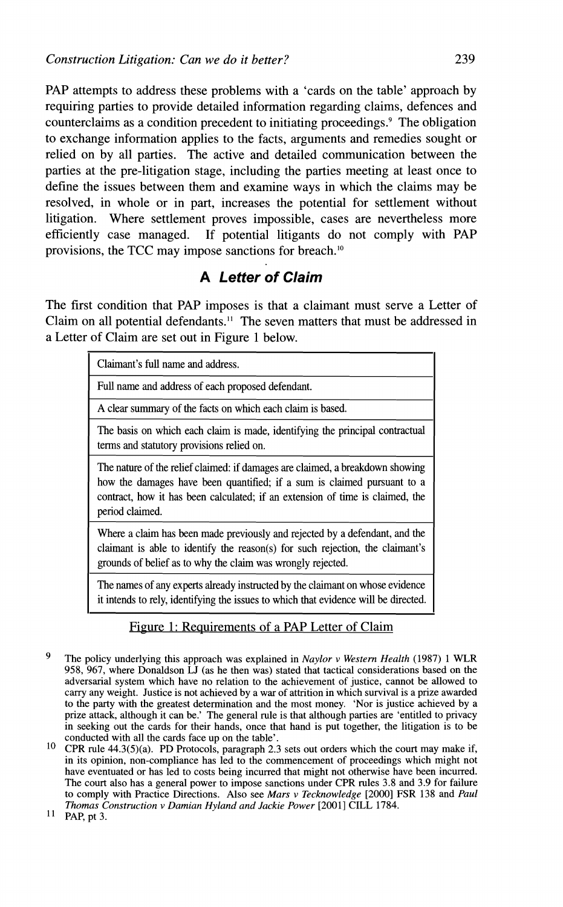**PAP** attempts to address these problems with a 'cards on the table' approach by requiring parties to provide detailed information regarding claims, defences and counterclaims as a condition precedent to initiating proceedings.' The obligation to exchange information applies to the facts, arguments and remedies sought or relied on by all parties. The active and detailed communication between the parties at the pre-litigation stage, including the parties meeting at least once to define the issues between them and examine ways in which the claims may be resolved, in whole or in part, increases the potential for settlement without litigation. Where settlement proves impossible, cases are nevertheless more efficiently case managed. If potential litigants do not comply with **PAP**  provisions, the TCC may impose sanctions for breach."

## **A Letter of Claim**

The first condition that **PAP** imposes is that a claimant must serve a Letter of Claim on all potential defendants." The seven matters that must be addressed in a Letter of Claim are set out in Figure 1 below.

|                                                                                                                                                                                                                                                              | Claimant's full name and address.                                                                                                                                                                                           |
|--------------------------------------------------------------------------------------------------------------------------------------------------------------------------------------------------------------------------------------------------------------|-----------------------------------------------------------------------------------------------------------------------------------------------------------------------------------------------------------------------------|
|                                                                                                                                                                                                                                                              | Full name and address of each proposed defendant.                                                                                                                                                                           |
|                                                                                                                                                                                                                                                              | A clear summary of the facts on which each claim is based.                                                                                                                                                                  |
|                                                                                                                                                                                                                                                              | The basis on which each claim is made, identifying the principal contractual<br>terms and statutory provisions relied on.                                                                                                   |
| The nature of the relief claimed: if damages are claimed, a breakdown showing<br>how the damages have been quantified; if a sum is claimed pursuant to a<br>contract, how it has been calculated; if an extension of time is claimed, the<br>period claimed. |                                                                                                                                                                                                                             |
|                                                                                                                                                                                                                                                              | Where a claim has been made previously and rejected by a defendant, and the<br>claimant is able to identify the reason(s) for such rejection, the claimant's<br>grounds of belief as to why the claim was wrongly rejected. |
|                                                                                                                                                                                                                                                              | The names of any experts already instructed by the claimant on whose evidence                                                                                                                                               |

it intends to rely, identifying the issues to which that evidence will be directed.

#### Figure 1: Requirements of a PAP Letter of Claim

- 9 The policy underlying this approach was explained in *Naylor* v *Western Health* (1987) *1* WLR 958, 967, where Donaldson LJ (as he then was) stated that tactical considerations based on the adversarial system which have no relation to the achievement of justice, cannot be allowed to carry any weight. Justice is not achieved by a war of attrition in which survival is a prize awarded to the party with the greatest determination and the most money. 'Nor is justice achieved by a prize attack, although it can be.' The general rule is that although parties are 'entitled to privacy in seeking out the cards for their hands, once that hand is put together, the litigation is to be conducted with all the cards face up on the table'.
- $10<sup>-10</sup>$ CPR rule 44.3(5)(a). PD Protocols, paragraph 2.3 sets out orders which the court may make if, in its opinion, non-compliance has led to the commencement of proceedings which might not have eventuated or has led to costs being incurred that might not otherwise have been incurred. The court also has a general power to impose sanctions under CPR rules 3.8 and 3.9 for failure to comply with Practice Directions. Also see *Mars* v *Tecknowledge* [2000] *FSR* 138 and *Paul Thomas Construction v Damian Hyland and Jackie Power* [2001] CILL 1784.<br><sup>11</sup> PAP, pt 3.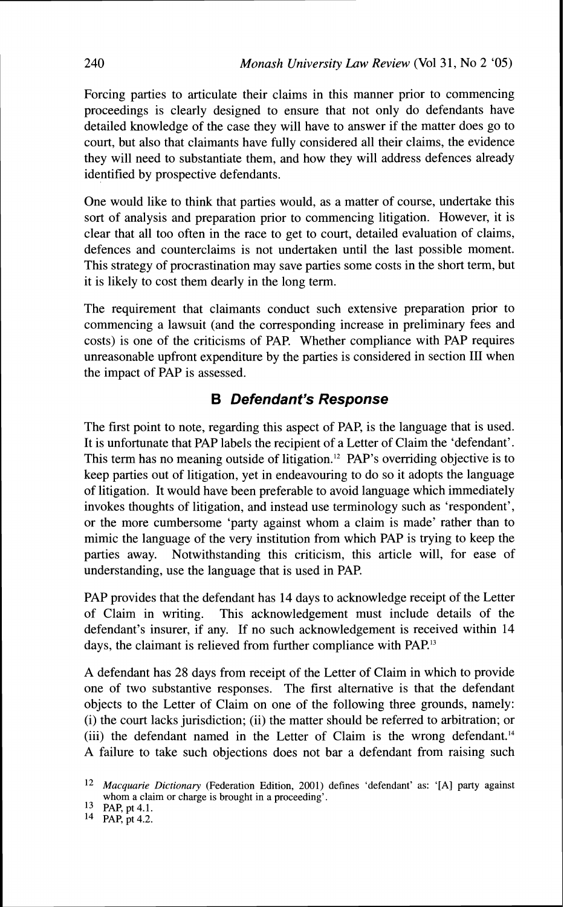Forcing parties to articulate their claims in this manner prior to commencing proceedings is clearly designed to ensure that not only do defendants have detailed knowledge of the case they will have to answer if the matter does go to court, but also that claimants have fully considered all their claims, the evidence they will need to substantiate them, and how they will address defences already identified by prospective defendants.

One would like to think that parties would, as a matter of course, undertake this sort of analysis and preparation prior to commencing litigation. However, it is clear that all too often in the race to get to court, detailed evaluation of claims, defences and counterclaims is not undertaken until the last possible moment. This strategy of procrastination may save parties some costs in the short term, but it is likely to cost them dearly in the long term.

The requirement that claimants conduct such extensive preparation prior to commencing a lawsuit (and the corresponding increase in preliminary fees and costs) is one of the criticisms of PAP. Whether compliance with PAP requires unreasonable upfront expenditure by the parties is considered in section I11 when the impact of PAP is assessed.

### **B Defendant's Response**

The first point to note, regarding this aspect of PAP, is the language that is used. It is unfortunate that PAP labels the recipient of a Letter of Claim the 'defendant'. This term has no meaning outside of litigation.<sup>12</sup> PAP's overriding objective is to keep parties out of litigation, yet in endeavouring to do so it adopts the language of litigation. It would have been preferable to avoid language which immediately invokes thoughts of litigation, and instead use terminology such as 'respondent', or the more cumbersome 'party against whom a claim is made' rather than to mimic the language of the very institution from which PAP is trying to keep the parties away. Notwithstanding this criticism, this article will, for ease of understanding, use the language that is used in PAP.

PAP provides that the defendant has 14 days to acknowledge receipt of the Letter of Claim in writing. This acknowledgement must include details of the defendant's insurer, if any. If no such acknowledgement is received within 14 days, the claimant is relieved from further compliance with PAP.<sup>13</sup>

A defendant has 28 days from receipt of the Letter of Claim in which to provide one of two substantive responses. The first alternative is that the defendant objects to the Letter of Claim on one of the following three grounds, namely: (i) the court lacks jurisdiction; (ii) the matter should be referred to arbitration; or (iii) the defendant named in the Letter of Claim is the wrong defendant.<sup>14</sup> A failure to take such objections does not bar a defendant from raising such

**l2** *Macquarie Dictionary* (Federation Edition, *2001)* defines 'defendant' as: '[A] party against whom a claim or charge is brought in a proceeding'.

<sup>13</sup> PAP, pt 4.1.

**l4** PAP, pt 4.2.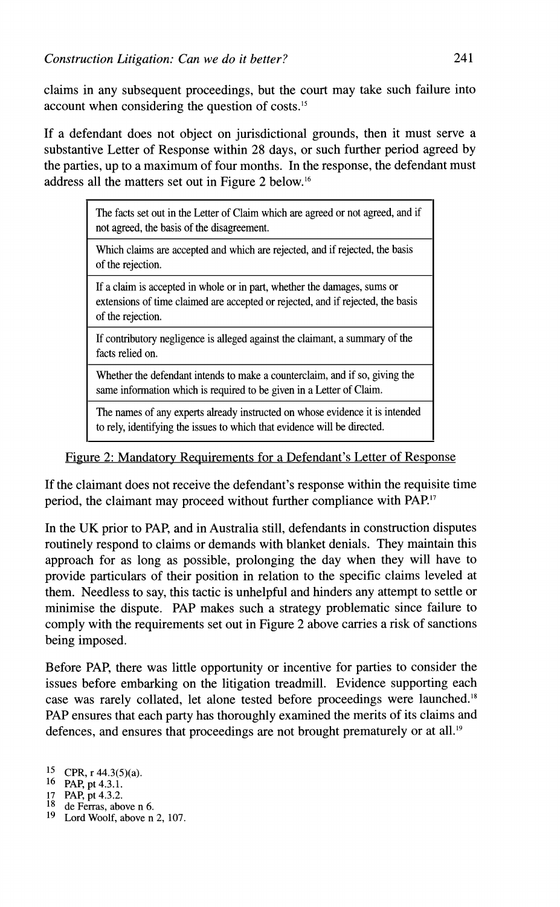claims in any subsequent proceedings, but the court may take such failure into account when considering the question of costs.15

If a defendant does not object on jurisdictional grounds, then it must serve a substantive Letter of Response within 28 days, or such further period agreed by the parties, up to a maximum of four months. In the response, the defendant must address all the matters set out in Figure 2 below.16

> The facts set out in the Letter of Claim which are agreed or not agreed, and if not agreed, the basis of the disagreement.

Which claims are accepted and which are rejected, and if rejected, the basis of the rejection.

If a claim is accepted in whole or in part, whether the damages, sums or extensions of time claimed are accepted or rejected, and if rejected, the basis of the rejection.

If contributory negligence is alleged against the claimant, a summary of the facts relied on.

Whether the defendant intends to make a counterclaim, and if so, giving the same information which is required to be given in a Letter of Claim.

The names of any experts already instructed on whose evidence it is intended to rely, identifying the issues to which that evidence will be directed.

Figure 2: Mandatorv Requirements for a Defendant's Letter of Response

If the claimant does not receive the defendant's response within the requisite time period, the claimant may proceed without further compliance with PAP.''

In the UK prior to PAP, and in Australia still, defendants in construction disputes routinely respond to claims or demands with blanket denials. They maintain this approach for as long as possible, prolonging the day when they will have to provide particulars of their position in relation to the specific claims leveled at them. Needless to say, this tactic is unhelpful and hinders any attempt to settle or minimise the dispute. PAP makes such a strategy problematic since failure to comply with the requirements set out in Figure 2 above carries a risk of sanctions being imposed.

Before PAP, there was little opportunity or incentive for parties to consider the issues before embarking on the litigation treadmill. Evidence supporting each case was rarely collated, let alone tested before proceedings were launched.18 PAP ensures that each party has thoroughly examined the merits of its claims and defences, and ensures that proceedings are not brought prematurely or at all.<sup>19</sup>

**l5** CPR, r 44.3(5)(a).

l6 PAP, pt 4.3.1.

<sup>17</sup> PAP, pt 4.3.2.<br><sup>18</sup> de Ferras, above n 6.

l9 Lord Woolf, above n 2, 107.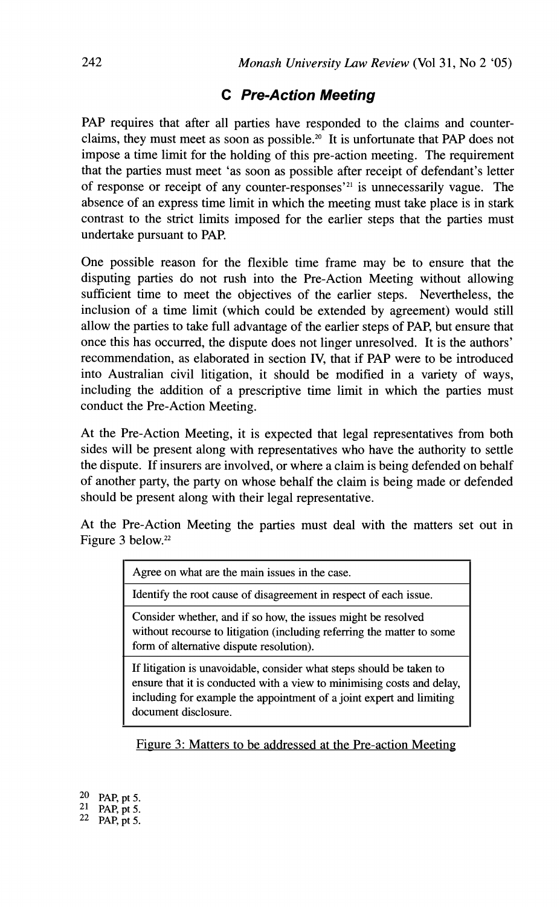### **C Pre-Action Meeting**

PAP requires that after all parties have responded to the claims and counterclaims, they must meet as soon as possible.20 It is unfortunate that PAP does not impose a time limit for the holding of this pre-action meeting. The requirement that the parties must meet 'as soon as possible after receipt of defendant's letter of response or receipt of any counter-responses<sup> $21$ </sup> is unnecessarily vague. The absence of an express time limit in which the meeting must take place is in stark contrast to the strict limits imposed for the earlier steps that the parties must undertake pursuant to PAP.

One possible reason for the flexible time frame may be to ensure that the disputing parties do not rush into the Pre-Action Meeting without allowing sufficient time to meet the objectives of the earlier steps. Nevertheless, the inclusion of a time limit (which could be extended by agreement) would still allow the parties to take full advantage of the earlier steps of PAP, but ensure that once this has occurred, the dispute does not linger unresolved. It is the authors' recommendation, as elaborated in section IV, that if PAP were to be introduced into Australian civil litigation, it should be modified in a variety of ways, including the addition of a prescriptive time limit in which the parties must conduct the Pre-Action Meeting.

At the Pre-Action Meeting, it is expected that legal representatives from both sides will be present along with representatives who have the authority to settle the dispute. If insurers are involved, or where a claim is being defended on behalf of another party, the party on whose behalf the claim is being made or defended should be present along with their legal representative.

At the Pre-Action Meeting the parties must deal with the matters set out in Figure 3 below.<sup>22</sup>

| Agree on what are the main issues in the case. |  |  |
|------------------------------------------------|--|--|
|------------------------------------------------|--|--|

Identify the root cause of disagreement in respect of each issue.

Consider whether, and if so how, the issues might be resolved without recourse to litigation (including referring the matter to some form of alternative dispute resolution).

If litigation is unavoidable, consider what steps should be taken to ensure that it is conducted with a view to minimising costs and delay, including for example the appointment of a joint expert and limiting document disclosure.

Figure 3: Matters to be addressed at the Pre-action Meeting

| 20 | PAP, pt 5. |
|----|------------|
| 21 | PAP, pt 5. |
| 22 | PAP, pt 5. |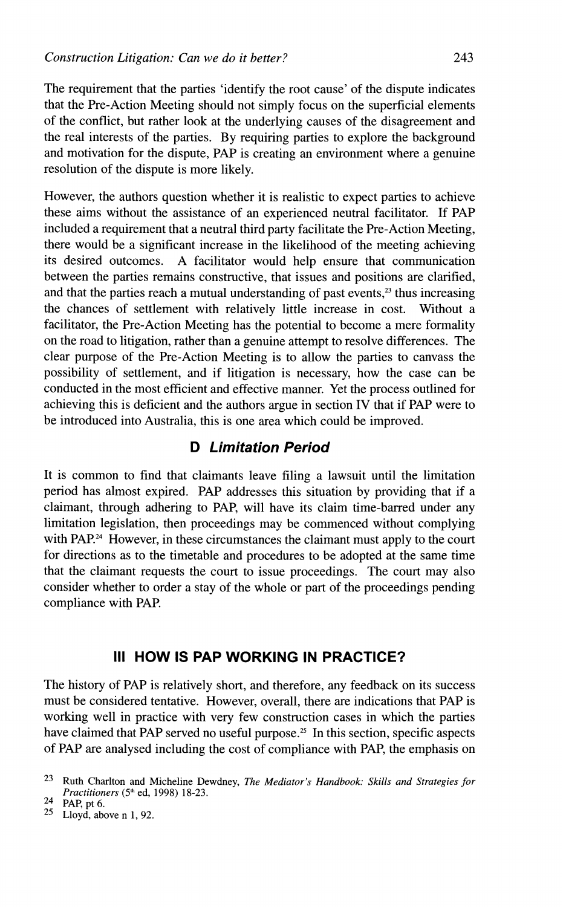The requirement that the parties 'identify the root cause' of the dispute indicates that the Pre-Action Meeting should not simply focus on the superficial elements of the conflict, but rather look at the underlying causes of the disagreement and the real interests of the parties. By requiring parties to explore the background and motivation for the dispute, PAP is creating an environment where a genuine resolution of the dispute is more likely.

However, the authors question whether it is realistic to expect parties to achieve these aims without the assistance of an experienced neutral facilitator. If PAP included a requirement that a neutral third party facilitate the Pre-Action Meeting, there would be a significant increase in the likelihood of the meeting achieving its desired outcomes. A facilitator would help ensure that communication between the parties remains constructive, that issues and positions are clarified, and that the parties reach a mutual understanding of past events, $^{23}$  thus increasing the chances of settlement with relatively little increase in cost. Without a facilitator, the Pre-Action Meeting has the potential to become a mere formality on the road to litigation, rather than a genuine attempt to resolve differences. The clear purpose of the Pre-Action Meeting is to allow the parties to canvass the possibility of settlement, and if litigation is necessary, how the case can be conducted in the most efficient and effective manner. Yet the process outlined for achieving this is deficient and the authors argue in section IV that if PAP were to be introduced into Australia, this is one area which could be improved.

### **D Limitation Period**

It is common to find that claimants leave filing a lawsuit until the limitation period has almost expired. PAP addresses this situation by providing that if a claimant, through adhering to PAP, will have its claim time-barred under any limitation legislation, then proceedings may be commenced without complying with PAP.<sup>24</sup> However, in these circumstances the claimant must apply to the court for directions as to the timetable and procedures to be adopted at the same time that the claimant requests the court to issue proceedings. The court may also consider whether to order a stay of the whole or part of the proceedings pending compliance with PAP.

### **Ill HOW IS PAP WORKING IN PRACTICE?**

The history of PAP is relatively short, and therefore, any feedback on its success must be considered tentative. However, overall, there are indications that PAP is working well in practice with very few construction cases in which the parties have claimed that PAP served no useful purpose.<sup>25</sup> In this section, specific aspects of PAP are analysed including the cost of compliance with PAP, the emphasis on

<sup>&</sup>lt;sup>23</sup> Ruth Charlton and Micheline Dewdney, *The Mediator's Handbook: Skills and Strategies for Pructitioners (5"* ed, 1998) 18-23.

<sup>24</sup> **PAP, pt 6.** 

*<sup>25</sup>*Lloyd, above n 1, 92.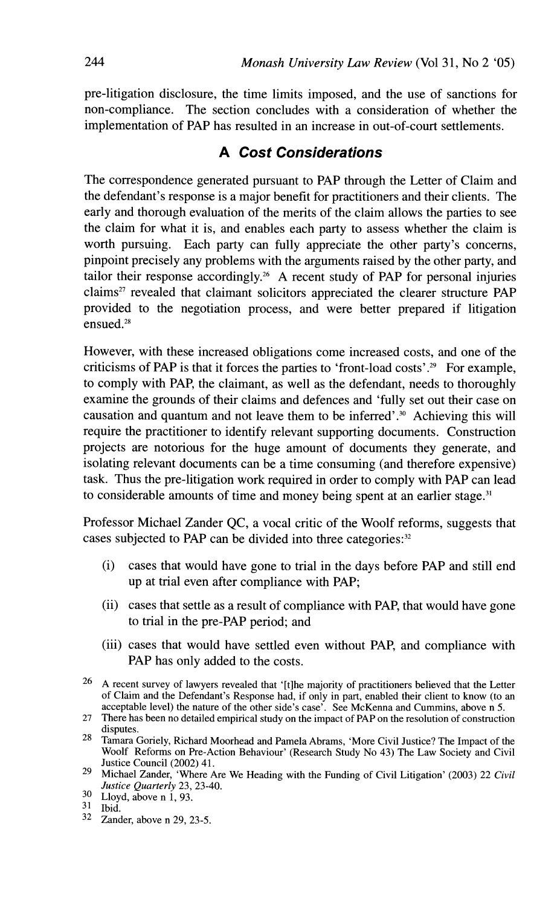pre-litigation disclosure, the time limits imposed, and the use of sanctions for non-compliance. The section concludes with a consideration of whether the implementation of PAP has resulted in an increase in out-of-court settlements.

### **A Cost Considerations**

The correspondence generated pursuant to PAP through the Letter of Claim and the defendant's response is a major benefit for practitioners and their clients. The early and thorough evaluation of the merits of the claim allows the parties to see the claim for what it is, and enables each party to assess whether the claim is worth pursuing. Each party can fully appreciate the other party's concerns, pinpoint precisely any problems with the arguments raised by the other party, and tailor their response accordingly.<sup>26</sup> A recent study of PAP for personal injuries claims<sup>27</sup> revealed that claimant solicitors appreciated the clearer structure PAP provided to the negotiation process, and were better prepared if litigation ensued.<sup>28</sup>

However, with these increased obligations come increased costs, and one of the criticisms of PAP is that it forces the parties to 'front-load costs'.29 For example, to comply with PAP, the claimant, as well as the defendant, needs to thoroughly examine the grounds of their claims and defences and 'fully set out their case on causation and quantum and not leave them to be inferred'.30 Achieving this will require the practitioner to identify relevant supporting documents. Construction projects are notorious for the huge amount of documents they generate, and isolating relevant documents can be a time consuming (and therefore expensive) task. Thus the pre-litigation work required in order to comply with PAP can lead to considerable amounts of time and money being spent at an earlier stage.<sup>31</sup>

Professor Michael Zander QC, a vocal critic of the Woolf reforms, suggests that cases subjected to PAP can be divided into three categories:<sup>32</sup>

- (i) cases that would have gone to trial in the days before PAP and still end up at trial even after compliance with PAP;
- (ii) cases that settle as a result of compliance with PAP, that would have gone to trial in the pre-PAP period; and
- (iii) cases that would have settled even without PAP, and compliance with PAP has only added to the costs.

 $30$  Lloyd, above n 1, 93.

**32** Zander, above n 29,23-5.

<sup>&</sup>lt;sup>26</sup> A recent survey of lawyers revealed that '[t]he majority of practitioners believed that the Letter of Claim and the Defendant's Response had, if only in part, enabled their client to know (to an acceptable level) the nature of the other side's case'. See McKenna and Cummins, above n 5.

<sup>27</sup> There has been no detailed empirical study on the impact of PAP on the resolution of construction disputes.

disputes. 28 Tamara Goriely, Richard Moorhead and Pamela Abrams, 'More Civil Justice? The Impact of the Woolf Reforms on Pre-Action Behaviour' (Research Study No 43) The Law Society and Civil Justice Council (2002) 41.

<sup>29</sup> Michael Zander, 'Where Are We Heading with the Funding of Civil Litigation' (2003) 22 *Civil* **Justice Quarterly** 23, 23-40.

<sup>31</sup> Ibid.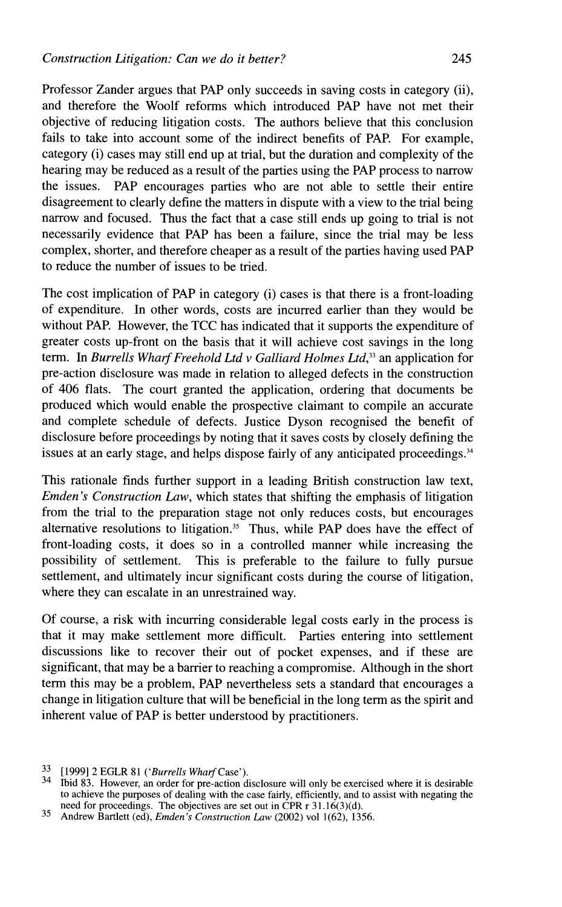Professor Zander argues that PAP only succeeds in saving costs in category (ii), and therefore the Woolf reforms which introduced PAP have not met their objective of reducing litigation costs. The authors believe that this conclusion fails to take into account some of the indirect benefits of PAP. For example, category (i) cases may still end up at trial, but the duration and complexity of the hearing may be reduced as a result of the parties using the PAP process to narrow the issues. PAP encourages parties who are not able to settle their entire disagreement to clearly define the matters in dispute with a view to the trial being narrow and focused. Thus the fact that a case still ends up going to trial is not necessarily evidence that PAP has been a failure, since the trial may be less complex, shorter, and therefore cheaper as a result of the parties having used PAP to reduce the number of issues to be tried.

The cost implication of PAP in category (i) cases is that there is a front-loading of expenditure. In other words, costs are incurred earlier than they would be without PAP. However, the TCC has indicated that it supports the expenditure of greater costs up-front on the basis that it will achieve cost savings in the long term. In *Burrells Wharf Freehold Ltd v Galliard Holmes Ltd*,<sup>33</sup> an application for pre-action disclosure was made in relation to alleged defects in the construction of 406 flats. The court granted the application, ordering that documents be produced which would enable the prospective claimant to compile an accurate and complete schedule of defects. Justice Dyson recognised the benefit of disclosure before proceedings by noting that it saves costs by closely defining the issues at an early stage, and helps dispose fairly of any anticipated proceedings. $34$ 

This rationale finds further support in a leading British construction law text, *Emden's Construction Law,* which states that shifting the emphasis of litigation from the trial to the preparation stage not only reduces costs, but encourages alternative resolutions to litigation.<sup>35</sup> Thus, while PAP does have the effect of front-loading costs, it does so in a controlled manner while increasing the possibility of settlement. This is preferable to the failure to fully pursue settlement, and ultimately incur significant costs during the course of litigation, where they can escalate in an unrestrained way.

Of course, a risk with incurring considerable legal costs early in the process is that it may make settlement more difficult. Parties entering into settlement discussions like to recover their out of pocket expenses, and if these are significant, that may be a barrier to reaching a compromise. Although in the short term this may be a problem, PAP nevertheless sets a standard that encourages a change in litigation culture that will be beneficial in the long term as the spirit and inherent value of PAP is better understood by practitioners.

 $33$  [1999] 2 EGLR 81 ('Burrells Wharf Case').<br><sup>34</sup> Tbid 83. However, an order for pre-action disclosure will only be exercised where it is desirable to achieve the purposes of dealing with the case fairly, efficiently, and to assist with negating the need for proceedings. The objectives are set out in CPR  $r$  31.16(3)(d).

<sup>35</sup> Andrew Bartlett (ed), *Emden's Construction Law* (2002) vol 1(62), 1356.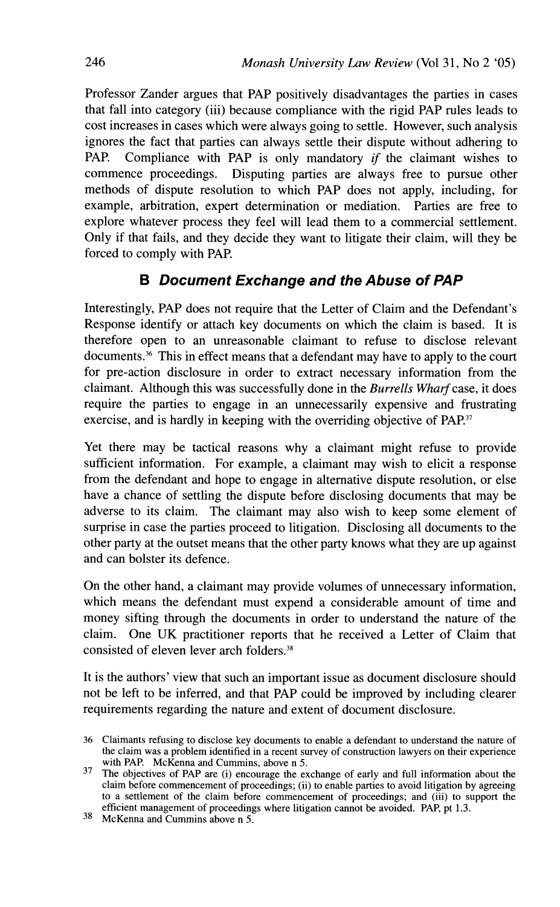Professor Zander argues that PAP positively disadvantages the parties in cases that fall into category (iii) because compliance with the rigid PAP rules leads to cost increases in cases which were always going to settle. However, such analysis ignores the fact that parties can always settle their dispute without adhering to PAP. Compliance with PAP is only mandatory if the claimant wishes to commence proceedings. Disputing parties are always free to pursue other methods of dispute resolution to which PAP does not apply, including, for example, arbitration, expert determination or mediation. Parties are free to explore whatever process they feel will lead them to a commercial settlement. Only if that fails, and they decide they want to litigate their claim, will they be forced to comply with PAP.

### **6 Document Exchange and the Abuse of PAP**

Interestingly, PAP does not require that the Letter of Claim and the Defendant's Response identify or attach key documents on which the claim is based. It is therefore open to an unreasonable claimant to refuse to disclose relevant documents.36 This in effect means that a defendant may have to apply to the court for pre-action disclosure in order to extract necessary information from the claimant. Although this was successfully done in the *Burrells Wharf* case, it does require the parties to engage in an unnecessarily expensive and frustrating exercise, and is hardly in keeping with the overriding objective of PAP.<sup>37</sup>

Yet there may be tactical reasons why a claimant might refuse to provide sufficient information. For example, a claimant may wish to elicit a response from the defendant and hope to engage in alternative dispute resolution, or else have a chance of settling the dispute before disclosing documents that may be adverse to its claim. The claimant may also wish to keep some element of surprise in case the parties proceed to litigation. Disclosing all documents to the other party at the outset means that the other party knows what they are up against and can bolster its defence.

On the other hand, a claimant may provide volumes of unnecessary information, which means the defendant must expend a considerable amount of time and money sifting through the documents in order to understand the nature of the claim. One UK practitioner reports that he received a Letter of Claim that consisted of eleven lever arch folders.38

It is the authors' view that such an important issue as document disclosure should not be left to be inferred, and that PAP could be improved by including clearer requirements regarding the nature and extent of document disclosure.

<sup>36</sup> Claimants refusing to disclose key documents to enable a defendant to understand the nature of the claim was a problem identified in a recent survey of construction lawyers on their experience with PAP. McKenna and Cummins, above n 5.

<sup>&</sup>lt;sup>37</sup> The objectives of PAP are (i) encourage the exchange of early and full information about the claim before commencement of proceedings; (ii) to enable parties to avoid litigation by agreeing to a settlement of the claim before commencement of proceedings; and (iii) to support the efficient management of proceedings where litigation cannot be avoided. **PAP,** pt 1.3.

<sup>38</sup> McKenna and Cummins above n 5.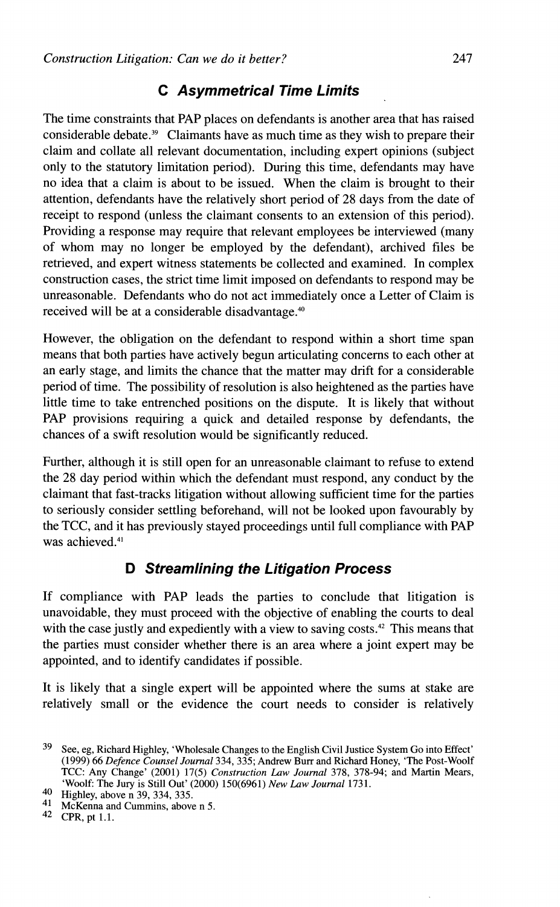## **C Asymmetrical Time Limits**

The time constraints that PAP places on defendants is another area that has raised considerable debate.39 Claimants have as much time as they wish to prepare their claim and collate all relevant documentation, including expert opinions (subject only to the statutory limitation period). During this time, defendants may have no idea that a claim is about to be issued. When the claim is brought to their attention, defendants have the relatively short period of 28 days from the date of receipt to respond (unless the claimant consents to an extension of this period). Providing a response may require that relevant employees be interviewed (many of whom may no longer be employed by the defendant), archived files be retrieved, and expert witness statements be collected and examined. In complex construction cases, the strict time limit imposed on defendants to respond may be unreasonable. Defendants who do not act immediately once a Letter of Claim is received will be at a considerable disadvantage.<sup>40</sup>

However, the obligation on the defendant to respond within a short time span means that both parties have actively begun articulating concerns to each other at an early stage, and limits the chance that the matter may drift for a considerable period of time. The possibility of resolution is also heightened as the parties have little time to take entrenched positions on the dispute. It is likely that without PAP provisions requiring a quick and detailed response by defendants, the chances of a swift resolution would be significantly reduced.

Further, although it is still open for an unreasonable claimant to refuse to extend the 28 day period within which the defendant must respond, any conduct by the claimant that fast-tracks litigation without allowing sufficient time for the parties to seriously consider settling beforehand, will not be looked upon favourably by the TCC, and it has previously stayed proceedings until full compliance with PAP was achieved.<sup>41</sup>

## **D Streamlining the Litigation Process**

If compliance with PAP leads the parties to conclude that litigation is unavoidable, they must proceed with the objective of enabling the courts to deal with the case justly and expediently with a view to saving costs.<sup>42</sup> This means that the parties must consider whether there is an area where a joint expert may be appointed, and to identify candidates if possible.

It is likely that a single expert will be appointed where the sums at stake are relatively small or the evidence the court needs to consider is relatively

McKenna and Cummins, above n 5.

**<sup>39</sup>** See, eg, Richard Highley, 'Wholesale Changes to the English Civil Justice System Go into Effect' (1999) 66 *Defence Counsel Journal* 334,335; Andrew Burr and Richard Honey, 'The Post-Woolf TCC: Any Change' (2001) 17(5) *Construction Law Journal* 378, 378-94; and Martin Mears, 'Woolf: The Jury is Still Out' (2000) 150(6961) *New Law Journal* 1731.

 $^{40}$  Highley, above n 39, 334, 335.

**<sup>42</sup>** CPR,pt 1.1.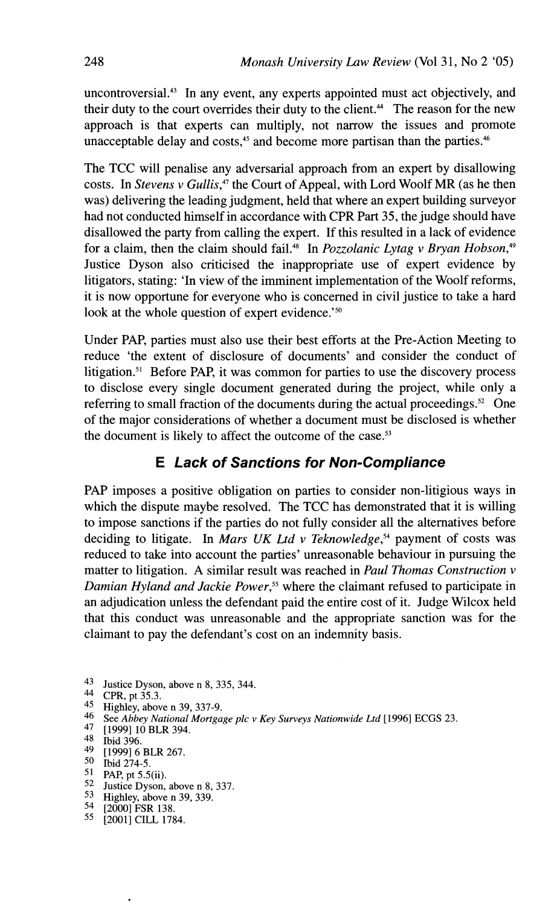uncontroversial.<sup>43</sup> In any event, any experts appointed must act objectively, and their duty to the court overrides their duty to the client.<sup>44</sup> The reason for the new approach is that experts can multiply, not narrow the issues and promote unacceptable delay and costs,<sup>45</sup> and become more partisan than the parties.<sup>46</sup>

The TCC will penalise any adversarial approach from an expert by disallowing costs. In Stevens v Gullis,<sup>47</sup> the Court of Appeal, with Lord Woolf MR (as he then was) delivering the leading judgment, held that where an expert building surveyor had not conducted himself in accordance with CPR Part 35, the judge should have disallowed the party from calling the expert. If this resulted in a lack of evidence for a claim, then the claim should fail.<sup>48</sup> In *Pozzolanic Lytag v Bryan Hobson*,<sup>49</sup> Justice Dyson also criticised the inappropriate use of expert evidence by litigators, stating: 'In view of the imminent implementation of the Woolf reforms, it is now opportune for everyone who is concerned in civil justice to take a hard look at the whole question of expert evidence.'<sup>50</sup>

Under PAP, parties must also use their best efforts at the Pre-Action Meeting to reduce 'the extent of disclosure of documents' and consider the conduct of litigation.<sup>51</sup> Before PAP, it was common for parties to use the discovery process to disclose every single document generated during the project, while only a referring to small fraction of the documents during the actual proceedings.<sup>52</sup> One of the major considerations of whether a document must be disclosed is whether the document is likely to affect the outcome of the case.<sup>53</sup>

## **E Lack of Sanctions for Non-Compliance**

PAP imposes a positive obligation on parties to consider non-litigious ways in which the dispute maybe resolved. The TCC has demonstrated that it is willing to impose sanctions if the parties do not fully consider all the alternatives before deciding to litigate. In Mars UK Ltd v Teknowledge,<sup>54</sup> payment of costs was reduced to take into account the parties' unreasonable behaviour in pursuing the matter to litigation. A similar result was reached in Paul Thomas Construction v Damian Hyland and Jackie Power,<sup>55</sup> where the claimant refused to participate in an adjudication unless the defendant paid the entire cost of it. Judge Wilcox held that this conduct was unreasonable and the appropriate sanction was for the claimant to pay the defendant's cost on an indemnity basis.

- 43 Justice Dyson, above n 8, 335, 344.<br>44 CPR pt 35.3
- CPR, pt 35.3.
- 45 Highley, above n 39, 337-9.
- 46 See *Abbey National Mortgage plc* **v** *Key Surveys Nationwide Ltd* [I9961 ECGS 23.
- [1999] 10 BLR 394.

- $^{49}$  [1999] 6 BLR 267.<br>50 Thid 274.5
- $^{50}$  Ibid 274-5.<br>51 PAP pt 5.5
- PAP, pt 5.5(ii).
- 52 Justice Dyson, above n 8, 337.
- 53 Highley, above n 39, 339.
- 54 [2000] FSR 138.
- 55 [2001] CILL 1784.

 $48$  Ibid 396.<br>49 [1999] 6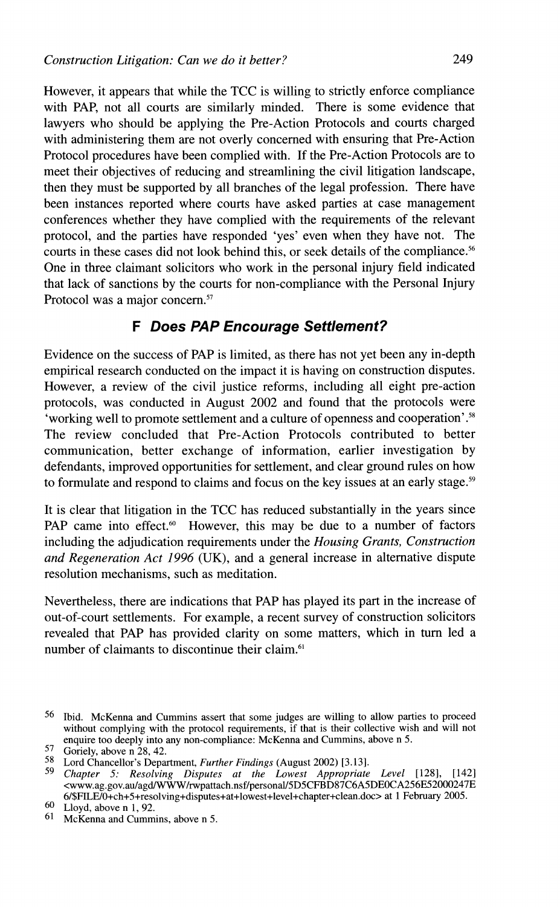However, it appears that while the TCC is willing to strictly enforce compliance with PAP, not all courts are similarly minded. There is some evidence that lawyers who should be applying the Pre-Action Protocols and courts charged with administering them are not overly concerned with ensuring that Pre-Action Protocol procedures have been complied with. If the Pre-Action Protocols are to meet their objectives of reducing and streamlining the civil litigation landscape, then they must be supported by all branches of the legal profession. There have been instances reported where courts have asked parties at case management conferences whether they have complied with the requirements of the relevant protocol, and the parties have responded 'yes' even when they have not. The courts in these cases did not look behind this, or seek details of the compliance.<sup>56</sup> One in three claimant solicitors who work in the personal injury field indicated that lack of sanctions by the courts for non-compliance with the Personal Injury Protocol was a major concern. $57$ 

#### **F Does PAP Encourage Settlement?**

Evidence on the success of PAP is limited, as there has not yet been any in-depth empirical research conducted on the impact it is having on construction disputes. However, a review of the civil justice reforms, including all eight pre-action protocols, was conducted in August 2002 and found that the protocols were 'working well to promote settlement and a culture of openness and cooperation'.<sup>58</sup> The review concluded that Pre-Action Protocols contributed to better communication, better exchange of information, earlier investigation by defendants, improved opportunities for settlement, and clear ground rules on how to formulate and respond to claims and focus on the key issues at an early stage.<sup>59</sup>

It is clear that litigation in the TCC has reduced substantially in the years since PAP came into effect. $60$  However, this may be due to a number of factors including the adjudication requirements under the *Housing Grants, Construction and Regeneration Act 1996 (UK),* and a general increase in alternative dispute resolution mechanisms, such as meditation.

Nevertheless, there are indications that PAP has played its part in the increase of out-of-court settlements. For example, a recent survey of construction solicitors revealed that PAP has provided clarity on some matters, which in turn led a number of claimants to discontinue their claim.<sup>61</sup>

<sup>56</sup> Ibid. McKenna and Cummins assert that some judges are willing to allow parties to proceed without complying with the protocol requirements, if that is their collective wish and will not enquire too deeply into any non-compliance: McKenna and Cummins, above n 5.<br>
<sup>57</sup>e Goriely, above n 28, 42.

<sup>58</sup> Lord Chancellor's Devartment. *Further Findings* (August 2002) *13.131.* 

Chapter 5: Resolving Disputes at the Lowest Appropriate Level [128], [142] <www.ag.gov.au/agd/WWW/rwpattach.nsf/personal/5D5CFBD87C6A5DE0CA256E52000247E **6/\$FILE/O+ch+5+resolving+disputes+at+lowest+level+chapter+clem.doc** at 1 February 2005.

 $60$  Lloyd, above n 1, 92.<br> $61$  McKenna and Cumm

McKenna and Cummins, above n 5.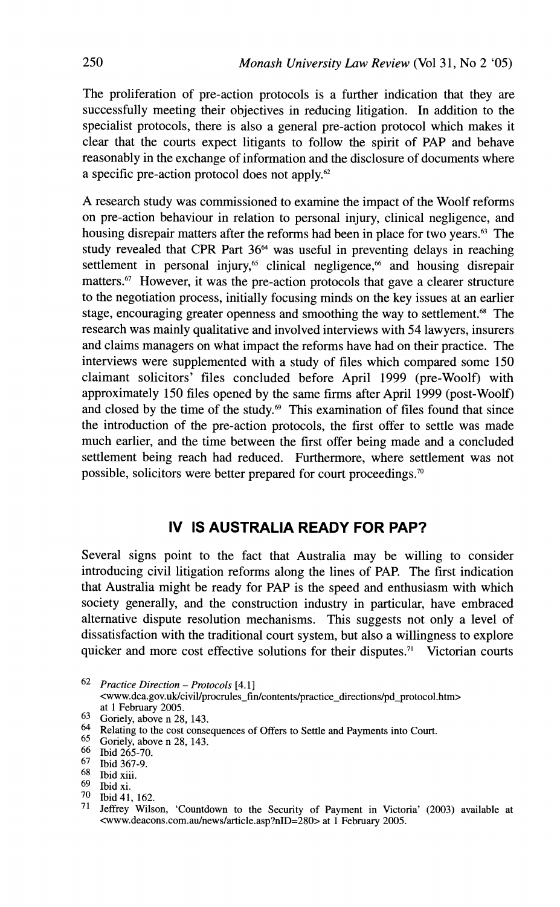The proliferation of pre-action protocols is a further indication that they are successfully meeting their objectives in reducing litigation. In addition to the specialist protocols, there is also a general pre-action protocol which makes it clear that the courts expect litigants to follow the spirit of PAP and behave reasonably in the exchange of information and the disclosure of documents where a specific pre-action protocol does not apply.62

A research study was commissioned to examine the impact of the Woolf reforms on pre-action behaviour in relation to personal injury, clinical negligence, and housing disrepair matters after the reforms had been in place for two years.<sup>63</sup> The study revealed that CPR Part **3664** was useful in preventing delays in reaching settlement in personal injury, $65$  clinical negligence, $66$  and housing disrepair matters.<sup>67</sup> However, it was the pre-action protocols that gave a clearer structure to the negotiation process, initially focusing minds on the key issues at an earlier stage, encouraging greater openness and smoothing the way to settlement.<sup>68</sup> The research was mainly qualitative and involved interviews with 54 lawyers, insurers and claims managers on what impact the reforms have had on their practice. The interviews were supplemented with a study of files which compared some 150 claimant solicitors' files concluded before April 1999 (pre-Woolf) with approximately 150 files opened by the same firms after April 1999 (post-Woolf) and closed by the time of the study.<sup>69</sup> This examination of files found that since the introduction of the pre-action protocols, the first offer to settle was made much earlier, and the time between the first offer being made and a concluded settlement being reach had reduced. Furthermore, where settlement was not possible, solicitors were better prepared for court proceedings.<sup>70</sup>

### **IV IS AUSTRALIA READY FOR PAP?**

Several signs point to the fact that Australia may be willing to consider introducing civil litigation reforms along the lines of PAP. The first indication that Australia might be ready for PAP is the speed and enthusiasm with which society generally, and the construction industry in particular, have embraced alternative dispute resolution mechanisms. This suggests not only a level of dissatisfaction with the traditional court system, but also a willingness to explore quicker and more cost effective solutions for their disputes.<sup>71</sup> Victorian courts

 $^{65}$  Goriely, above n 28, 143.<br> $^{66}$  Thid 265-70

 $^{67}$  Ibid 367-9.<br> $^{68}$  Ibid viii

- Ibid xi.
- **70** Ibid 41, 162.

<sup>62</sup>*Practice Direction* - *Protocols* [4.1] **<www.dca.gov.uk/civiVprocrules~fin/contents/practice~directions/pd~protocol.htm>** 

at 1 February 2005.

<sup>63</sup> Goriely, above n 28, 143.

<sup>64</sup> **Relating to the cost consequences of Offers to Settle and Payments into Court.** 

 $^{66}$  Ibid 265-70.

 $\frac{68}{69}$  Ibid xiii.

**<sup>71</sup>** Jeffrey Wilson, 'Countdown to the Security of Payment in Victoria' (2003) available at **<www.deacons.com.au/news/article.asp?nID=280>** at 1 February 2005.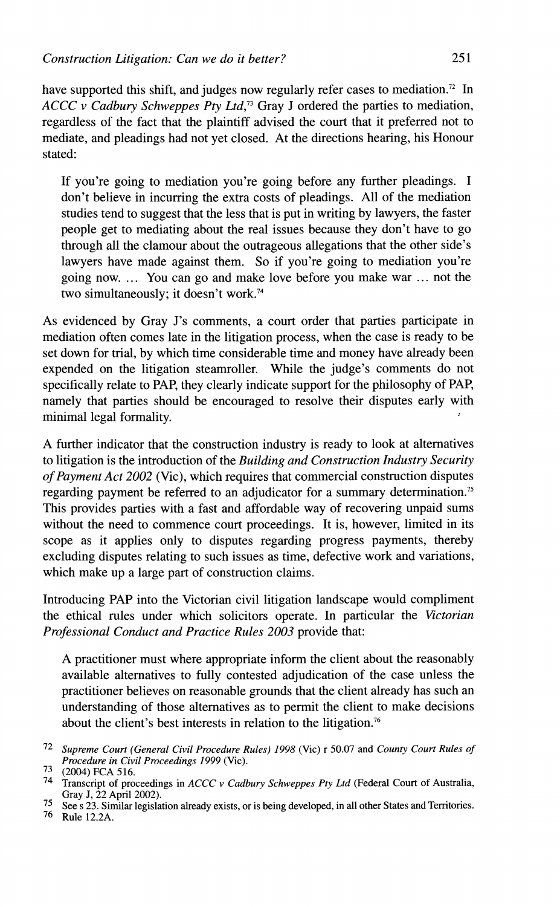have supported this shift, and judges now regularly refer cases to mediation.<sup>72</sup> In *ACCC* v *Cadbury Schweppes Pty Ltd,73* Gray J ordered the parties to mediation, regardless of the fact that the plaintiff advised the court that it preferred not to mediate, and pleadings had not yet closed. At the directions hearing, his Honour stated:

If you're going to mediation you're going before any further pleadings. I don't believe in incurring the extra costs of pleadings. All of the mediation studies tend to suggest that the less that is put in writing by lawyers, the faster people get to mediating about the real issues because they don't have to go through all the clamour about the outrageous allegations that the other side's lawyers have made against them. So if you're going to mediation you're going now. ... You can go and make love before you make war ... not the two simultaneously; it doesn't work.<sup>74</sup>

As evidenced by Gray J's comments, a court order that parties participate in mediation often comes late in the litigation process, when the case is ready to be set down for trial, by which time considerable time and money have already been expended on the litigation steamroller. While the judge's comments do not specifically relate to PAP, they clearly indicate support for the philosophy of PAP, namely that parties should be encouraged to resolve their disputes early with minimal legal formality.

A further indicator that the construction industry is ready to look at alternatives to litigation is the introduction of the *Building and Construction Industry Security of Payment Act 2002* (Vic), which requires that commercial construction disputes regarding payment be referred to an adjudicator for a summary determination.<sup>75</sup> This provides parties with a fast and affordable way of recovering unpaid sums without the need to commence court proceedings. It is, however, limited in its scope as it applies only to disputes regarding progress payments, thereby excluding disputes relating to such issues as time, defective work and variations, which make up a large part of construction claims.

Introducing PAP into the Victorian civil litigation landscape would compliment the ethical rules under which solicitors operate. In particular the *Victorian Professional Conduct and Practice Rules 2003* provide that:

A practitioner must where appropriate inform the client about the reasonably available alternatives to fully contested adjudication of the case unless the practitioner believes on reasonable grounds that the client already has such an understanding of those alternatives as to permit the client to make decisions about the client's best interests in relation to the litigation.<sup>76</sup>

**75** See s **23.** Similar legislation already exists, or is being developed, in all other States and Territories.

76 Rule 12.2A.

*<sup>72</sup> Supreme Court (General Civil Procedure Rules) 1998* (Vic) r 50.07 and *County Court Rules of Procedure in Civil Proceedings 1999* (Vic).

**<sup>73</sup>** (2004) FCA 516.

**<sup>74</sup>** Transcript of proceedings in *ACCC v Cadbury Schweppes Pty Ltd* (Federal Court of Australia, Gray J, 22 April 2002).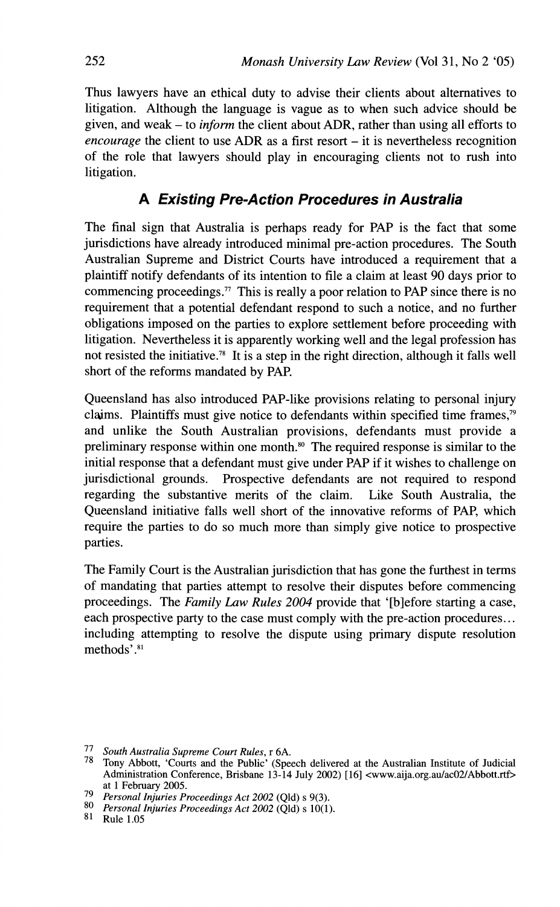Thus lawyers have an ethical duty to advise their clients about alternatives to litigation. Although the language is vague as to when such advice should be given, and weak - to *inform* the client about ADR, rather than using all efforts to *encourage* the client to use ADR as a first resort  $-$  it is nevertheless recognition of the role that lawyers should play in encouraging clients not to rush into litigation.

## **A Existing Pre-Action Procedures in Australia**

The final sign that Australia is perhaps ready for PAP is the fact that some jurisdictions have already introduced minimal pre-action procedures. The South Australian Supreme and District Courts have introduced a requirement that a plaintiff notify defendants of its intention to file a claim at least 90 days prior to commencing proceedings." This is really a poor relation to PAP since there is no requirement that a potential defendant respond to such a notice, and no further obligations imposed on the parties to explore settlement before proceeding with litigation. Nevertheless it is apparently working well and the legal profession has not resisted the initiative.<sup>78</sup> It is a step in the right direction, although it falls well short of the reforms mandated by PAP.

Queensland has also introduced PAP-like provisions relating to personal injury claims. Plaintiffs must give notice to defendants within specified time frames,<sup>79</sup> and unlike the South Australian provisions, defendants must provide a preliminary response within one month.<sup>80</sup> The required response is similar to the initial response that a defendant must give under PAP if it wishes to challenge on jurisdictional grounds. Prospective defendants are not required to respond regarding the substantive merits of the claim. Like South Australia, the Queensland initiative falls well short of the innovative reforms of PAP, which require the parties to do so much more than simply give notice to prospective parties.

The Family Court is the Australian jurisdiction that has gone the furthest in terms of mandating that parties attempt to resolve their disputes before commencing proceedings. The *Family Law Rules 2004* provide that '[blefore starting a case, each prospective party to the case must comply with the pre-action procedures.. . including attempting to resolve the dispute using primary dispute resolution methods'.<sup>81</sup>

<sup>77</sup> *South Australia Supreme Court Rules,* r 6A.

<sup>78</sup> Tony Abbott, 'Courts and the Public' (Speech delivered at the Australian Institute of Judicial Administration Conference, Brisbane 13-14 July 2002) [16] **<www.aija.org.au/acO2/Abbott.rtf>**  at 1 February 2005.

<sup>79</sup> *Personal Injuries Proceedings Act* 2002 (Qld) s 9(3).

*Personal Injuries Proceedings Act* 2002 (Qld) **s** lO(1).

<sup>81</sup> Rule 1.05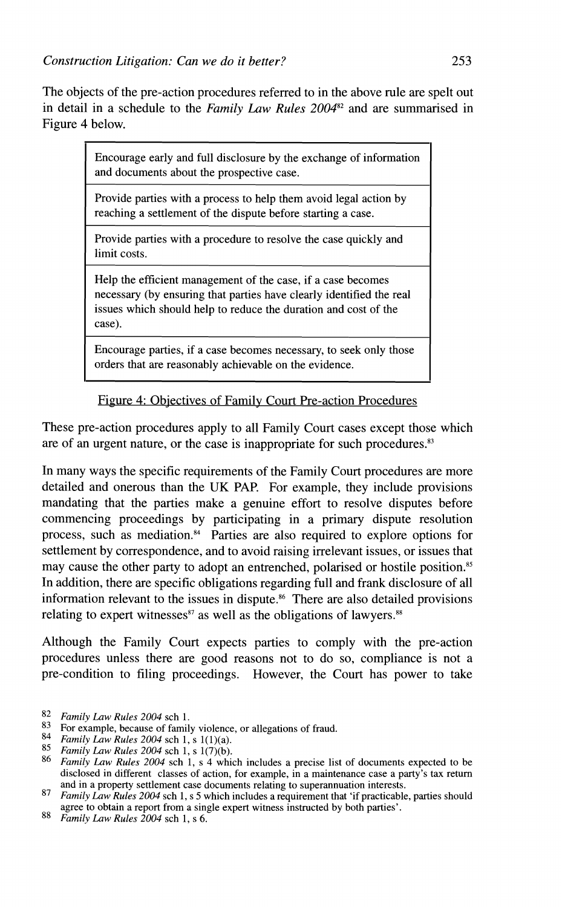The objects of the pre-action procedures referred to in the above rule are spelt out in detail in a schedule to the *Family* **Law** *Rules* 200482 and are summarised in Figure 4 below.

> Encourage early and full disclosure by the exchange of information and documents about the prospective case.

Provide parties with a process to help them avoid legal action by reaching a settlement of the dispute before starting a case.

Provide parties with a procedure to resolve the case quickly and limit costs.

Help the efficient management of the case, if a case becomes necessary (by ensuring that parties have clearly identified the real issues which should help to reduce the duration and cost of the case).

Encourage parties, if a case becomes necessary, to seek only those orders that are reasonably achievable on the evidence.

Figure 4: Obiectives of Familv Court Pre-action Procedures

These pre-action procedures apply to all Family Court cases except those which are of an urgent nature, or the case is inappropriate for such procedures. $83$ 

In many ways the specific requirements of the Family Court procedures are more detailed and onerous than the UK PAP. For example, they include provisions mandating that the parties make a genuine effort to resolve disputes before commencing proceedings by participating in a primary dispute resolution process, such as mediation. $\frac{3}{4}$  Parties are also required to explore options for settlement by correspondence, and to avoid raising irrelevant issues, or issues that may cause the other party to adopt an entrenched, polarised or hostile position.<sup>85</sup> In addition, there are specitic obligations regarding full and frank disclosure of all information relevant to the issues in dispute." There are also detailed provisions relating to expert witnesses $s<sup>87</sup>$  as well as the obligations of lawyers.<sup>88</sup>

Although the Family Court expects parties to comply with the pre-action procedures unless there are good reasons not to do so, compliance is not a pre-condition to filing proceedings. However, the Court has power to take

<sup>82</sup> *Family Law Rules 2004* sch 1.<br>83 For example because of family

<sup>&</sup>lt;sup>83</sup> For example, because of family violence, or allegations of fraud.<br><sup>84</sup> Family Law Rules 2004 sch 1, s  $1(1)(a)$ .

<sup>85</sup> *Family Law Rules 2004* sch 1, s 1(7)(b).<br><sup>86</sup> *Family Law Rules 2004* sch 1, s 4 which includes a precise list of documents expected to be disclosed in different classes of action, for example, in a maintenance case a party's tax return and in a property settlement case documents relating to superannuation interests.

*Famil!, Law Rules 2004* sch 1, s 5 which includes a requirement that 'if practicable, parties should agree to obtain a report from a single expert witness instructed by both parties'. 88 *Family Law Rubs 2004* sch *I,* s 6.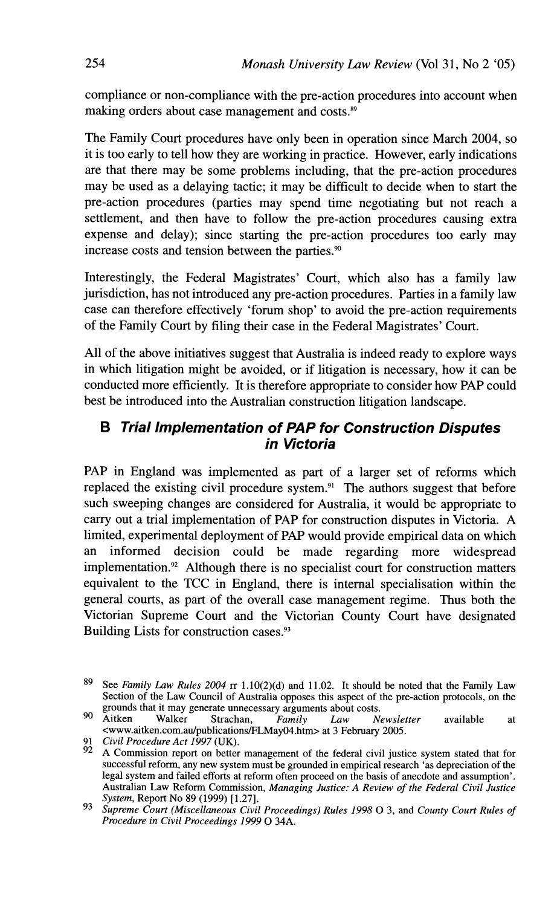compliance or non-compliance with the pre-action procedures into account when making orders about case management and costs.<sup>89</sup>

The Family Court procedures have only been in operation since March 2004, so it is too early to tell how they are working in practice. However, early indications are that there may be some problems including, that the pre-action procedures may be used as a delaying tactic; it may be difficult to decide when to start the pre-action procedures (parties may spend time negotiating but not reach a settlement, and then have to follow the pre-action procedures causing extra expense and delay); since starting the pre-action procedures too early may increase costs and tension between the parties.<sup>90</sup>

Interestingly, the Federal Magistrates' Court, which also has a family law jurisdiction, has not introduced any pre-action procedures. Parties in a family law case can therefore effectively 'forum shop' to avoid the pre-action requirements of the Family Court by filing their case in the Federal Magistrates' Court.

All of the above initiatives suggest that Australia is indeed ready to explore ways in which litigation might be avoided, or if litigation is necessary, how it can be conducted more efficiently. It is therefore appropriate to consider how PAP could best be introduced into the Australian construction litigation landscape.

### **B Trial Implementation of PAP for Construction Disputes in Victoria**

PAP in England was implemented as part of a larger set of reforms which replaced the existing civil procedure system.<sup>91</sup> The authors suggest that before such sweeping changes are considered for Australia, it would be appropriate to carry out a trial implementation of PAP for construction disputes in Victoria. A limited, experimental deployment of PAP would provide empirical data on which an informed decision could be made regarding more widespread implementation. $2^{\circ}$  Although there is no specialist court for construction matters equivalent to the TCC in England, there is internal specialisation within the general courts, as part of the overall case management regime. Thus both the Victorian Supreme Court and the Victorian County Court have designated Building Lists for construction cases.<sup>93</sup>

**<sup>89</sup>**See *Family Law Rules 2004* **rr** 1.10(2)(d) and 11.02. It should be noted that the Family Law Section of the Law Council of Australia opposes this aspect of the pre-action protocols, on the grounds that it may generate unnecessary arguments about costs.<br>Aitken Walker Strachan, Family Law N. 90

Aitken Walker Strachan, *Family Law Newsletter* available at **<www.aitken.com.au/publications/FLMay04.htm** at 3 February 2005.

**<sup>91</sup>** *Civil Procedure Act 1997* **(UK).**<br> **92 A** Commission **6.6** 

**<sup>92</sup>** A Commission report on better management of the federal civil justice system stated that for successful reform, any new system must be grounded in empirical research 'as depreciation of the legal system and failed efforts at reform often proceed on the basis of anecdote and assumption'. Australian Law Reform Commission, *Managing Justice: A Review of the Federal Civil Justice System,* Report No 89 (1999) [1.27].

<sup>93</sup>*Supreme Court (Miscellaneous Civil Proceedings) Rules 1998* 0 3, and *County Court Rules of Procedure in Civil Proceedings 1999* 0 34A.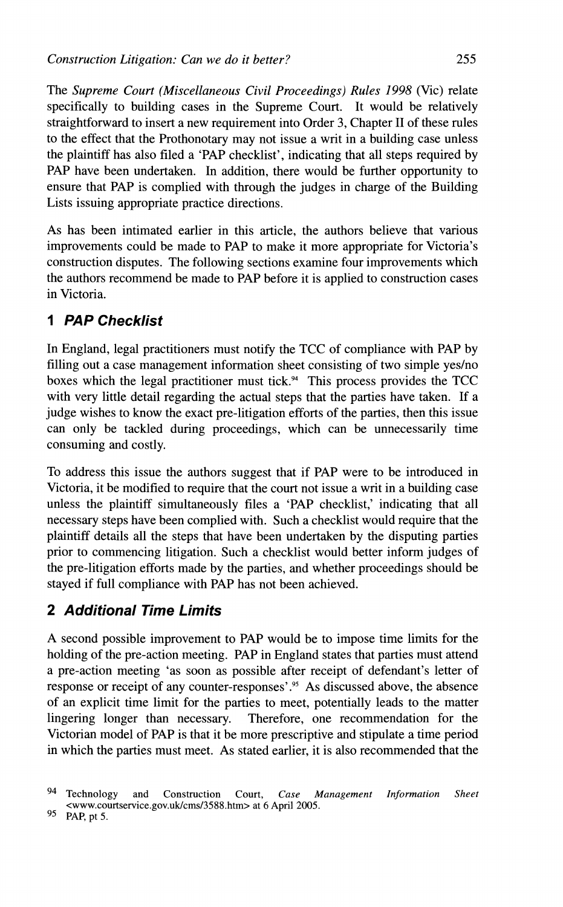The *Supreme Court (Miscellaneous Civil Proceedings) Rules 1998* (Vic) relate specifically to building cases in the Supreme Court. It would be relatively straightforward to insert a new requirement into Order 3, Chapter I1 of these rules to the effect that the Prothonotary may not issue a writ in a building case unless the plaintiff has also filed a 'PAP checklist', indicating that all steps required by PAP have been undertaken. In addition, there would be further opportunity to ensure that PAP is complied with through the judges in charge of the Building Lists issuing appropriate practice directions.

As has been intimated earlier in this article, the authors believe that various improvements could be made to PAP to make it more appropriate for Victoria's construction disputes. The following sections examine four improvements which the authors recommend be made to PAP before it is applied to construction cases in Victoria.

# **1 PAP Checklist**

In England, legal practitioners must notify the TCC of compliance with PAP by filling out a case management information sheet consisting of two simple yes/no boxes which the legal practitioner must tick. $94$  This process provides the TCC with very little detail regarding the actual steps that the parties have taken. If a judge wishes to know the exact pre-litigation efforts of the parties, then this issue can only be tackled during proceedings, which can be unnecessarily time consuming and costly.

To address this issue the authors suggest that if PAP were to be introduced in Victoria, it be modified to require that the court not issue a writ in a building case unless the plaintiff simultaneously files a 'PAP checklist,' indicating that all necessary steps have been complied with. Such a checklist would require that the plaintiff details all the steps that have been undertaken by the disputing parties prior to commencing litigation. Such a checklist would better inform judges of the pre-litigation efforts made by the parties, and whether proceedings should be stayed if full compliance with PAP has not been achieved.

# **2 Additional Time Limits**

A second possible improvement to PAP would be to impose time limits for the holding of the pre-action meeting. PAP in England states that parties must attend a pre-action meeting 'as soon as possible after receipt of defendant's letter of response or receipt of any counter-responses'. $95$  As discussed above, the absence of an explicit time limit for the parties to meet, potentially leads to the matter lingering longer than necessary. Therefore, one recommendation for the Victorian model of PAP is that it be more prescriptive and stipulate a time period in which the parties must meet. As stated earlier, it is also recommended that the

<sup>94</sup> *Technology and Construction Court, Case Management Information Sheet*  **<www.courtservice.gov.uk/cms/3588.htm>** *at 6* **April** *2005.* 

<sup>9</sup>s *PAP, pt 5.*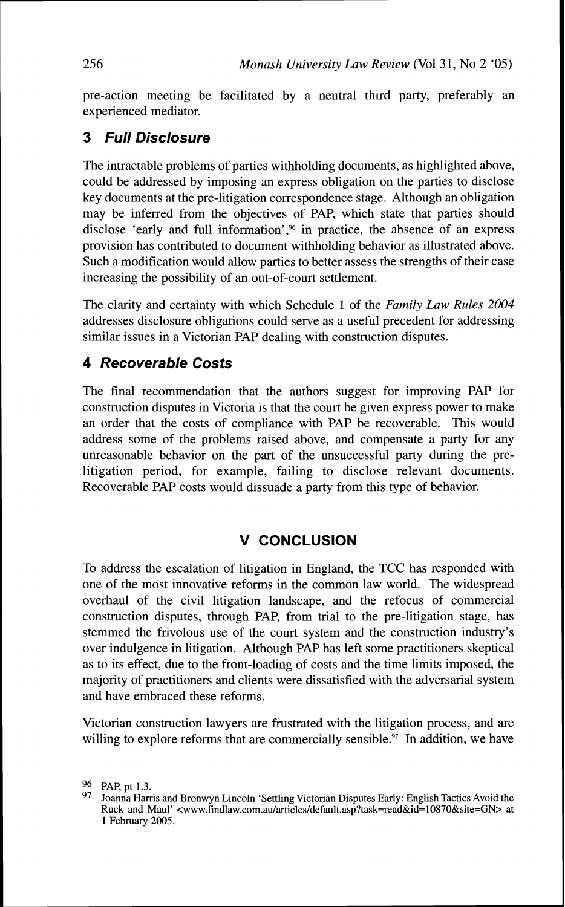pre-action meeting be facilitated by a neutral third party, preferably an experienced mediator.

## **3 Full Disclosure**

The intractable problems of parties withholding documents, as highlighted above, could be addressed by imposing an express obligation on the parties to disclose key documents at the pre-litigation correspondence stage. Although an obligation may be inferred from the objectives of PAP, which state that parties should disclose 'early and full information',<sup>%</sup> in practice, the absence of an express provision has contributed to document withholding behavior as illustrated above. Such a modification would allow parties to better assess the strengths of their case increasing the possibility of an out-of-court settlement.

The clarity and certainty with which Schedule 1 of the *Family* **Law** *Rules 2004*  addresses disclosure obligations could serve as a useful precedent for addressing similar issues in a Victorian PAP dealing with construction disputes.

## **4 Recoverable Costs**

The final recommendation that the authors suggest for improving PAP for construction disputes in Victoria is that the court be given express power to make an order that the costs of compliance with PAP be recoverable. This would address some of the problems raised above, and compensate a party for any unreasonable behavior on the part of the unsuccessful party during the prelitigation period, for example, failing to disclose relevant documents. Recoverable PAP costs would dissuade a party from this type of behavior.

### **V CONCLUSION**

To address the escalation of litigation in England, the TCC has responded with one of the most innovative reforms in the common law world. The widespread overhaul of the civil litigation landscape, and the refocus of commercial construction disputes, through PAP, from trial to the pre-litigation stage, has stemmed the frivolous use of the court system and the construction industry's over indulgence in litigation. Although PAP has left some practitioners skeptical as to its effect, due to the front-loading of costs and the time limits imposed, the majority of practitioners and clients were dissatisfied with the adversarial system and have embraced these reforms.

Victorian construction lawyers are frustrated with the litigation process, and are willing to explore reforms that are commercially sensible. $\frac{97}{10}$  In addition, we have

<sup>96</sup> PAP, pt 1.3.

<sup>97</sup> Joanna Harris and Bronwyn Lincoln 'Settling Victorian Disputes Early: English Tactics Avoid the Ruck and Maul' **<www.findlaw.com.au/articles/default.asp?task=read&id=lO87O&site=GN>** at 1 February 2005.